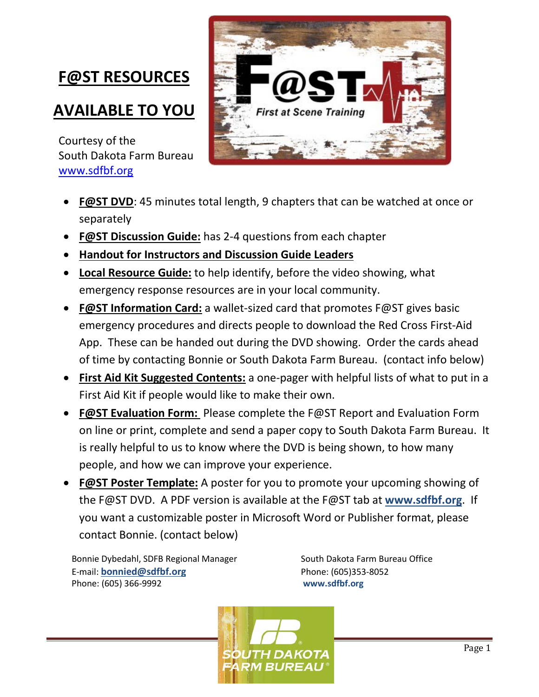## **F@ST RESOURCES**

### **AVAILABLE TO YOU**

Courtesy of the South Dakota Farm Bureau [www.sdfbf.org](http://www.sdfbf.org/)



- **F@ST DVD**: 45 minutes total length, 9 chapters that can be watched at once or separately
- **F@ST Discussion Guide:** has 2-4 questions from each chapter
- **Handout for Instructors and Discussion Guide Leaders**
- **Local Resource Guide:** to help identify, before the video showing, what emergency response resources are in your local community.
- **F@ST Information Card:** a wallet-sized card that promotes F@ST gives basic emergency procedures and directs people to download the Red Cross First-Aid App. These can be handed out during the DVD showing. Order the cards ahead of time by contacting Bonnie or South Dakota Farm Bureau. (contact info below)
- **First Aid Kit Suggested Contents:** a one-pager with helpful lists of what to put in a First Aid Kit if people would like to make their own.
- **F@ST Evaluation Form:** Please complete the F@ST Report and Evaluation Form on line or print, complete and send a paper copy to South Dakota Farm Bureau. It is really helpful to us to know where the DVD is being shown, to how many people, and how we can improve your experience.
- **F@ST Poster Template:** A poster for you to promote your upcoming showing of the F@ST DVD. A PDF version is available at the F@ST tab at **www.sdfbf.org**. If [you want a custo](http://www.sdfbf.org/)mizable poster in Microsoft Word or Publisher format, please contact Bonnie. (contact below)

Bonnie Dybedahl, SDFB Regional Manager South Dakota Farm Bureau Office E-mail: **[bonnied@sdfbf.org](mailto:bonnied@sdfbf.org)** Phone: (605)353-8052 Phone: (605) 366-9992 **www.sdfbf.org**

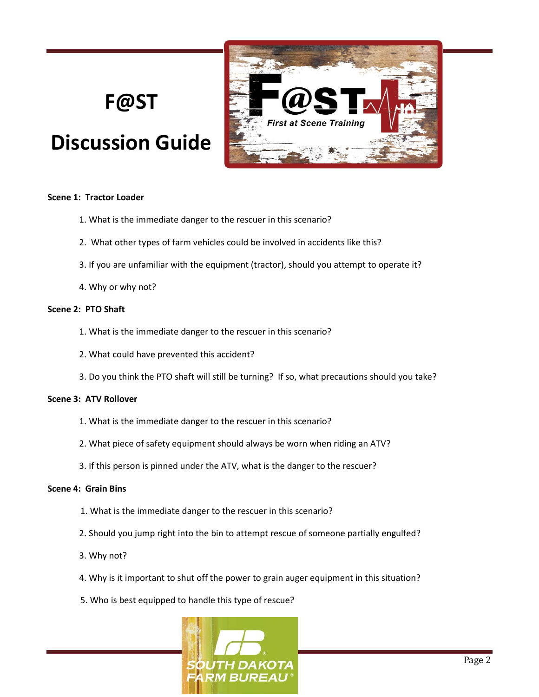# **F@ST**

# **Discussion Guide**



#### **Scene 1: Tractor Loader**

- 1. What is the immediate danger to the rescuer in this scenario?
- 2. What other types of farm vehicles could be involved in accidents like this?
- 3. If you are unfamiliar with the equipment (tractor), should you attempt to operate it?
- 4. Why or why not?

#### **Scene 2: PTO Shaft**

- 1. What is the immediate danger to the rescuer in this scenario?
- 2. What could have prevented this accident?
- 3. Do you think the PTO shaft will still be turning? If so, what precautions should you take?

#### **Scene 3: ATV Rollover**

- 1. What is the immediate danger to the rescuer in this scenario?
- 2. What piece of safety equipment should always be worn when riding an ATV?
- 3. If this person is pinned under the ATV, what is the danger to the rescuer?

#### **Scene 4: Grain Bins**

- 1. What is the immediate danger to the rescuer in this scenario?
- 2. Should you jump right into the bin to attempt rescue of someone partially engulfed?
- 3. Why not?
- 4. Why is it important to shut off the power to grain auger equipment in this situation?
- 5. Who is best equipped to handle this type of rescue?

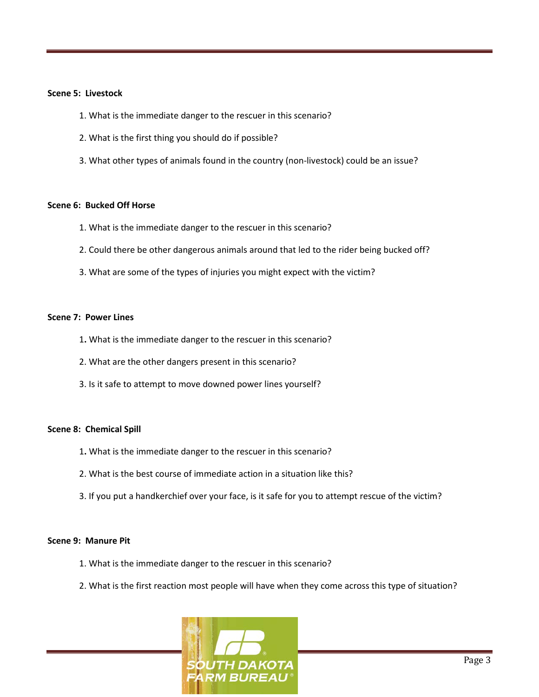#### **Scene 5: Livestock**

- 1. What is the immediate danger to the rescuer in this scenario?
- 2. What is the first thing you should do if possible?
- 3. What other types of animals found in the country (non-livestock) could be an issue?

#### **Scene 6: Bucked Off Horse**

- 1. What is the immediate danger to the rescuer in this scenario?
- 2. Could there be other dangerous animals around that led to the rider being bucked off?
- 3. What are some of the types of injuries you might expect with the victim?

#### **Scene 7: Power Lines**

- 1**.** What is the immediate danger to the rescuer in this scenario?
- 2. What are the other dangers present in this scenario?
- 3. Is it safe to attempt to move downed power lines yourself?

#### **Scene 8: Chemical Spill**

- 1**.** What is the immediate danger to the rescuer in this scenario?
- 2. What is the best course of immediate action in a situation like this?
- 3. If you put a handkerchief over your face, is it safe for you to attempt rescue of the victim?

#### **Scene 9: Manure Pit**

- 1. What is the immediate danger to the rescuer in this scenario?
- 2. What is the first reaction most people will have when they come across this type of situation?

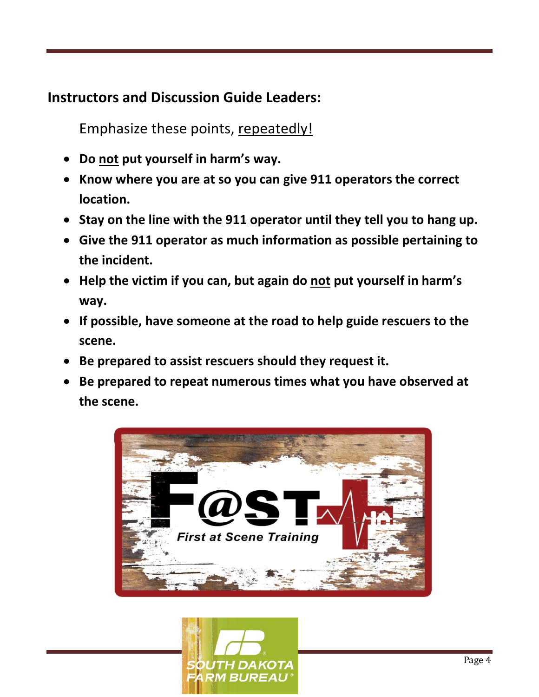### **Instructors and Discussion Guide Leaders:**

Emphasize these points, repeatedly!

- **Do not put yourself in harm's way.**
- **Know where you are at so you can give 911 operators the correct location.**
- **Stay on the line with the 911 operator until they tell you to hang up.**
- **Give the 911 operator as much information as possible pertaining to the incident.**
- **Help the victim if you can, but again do not put yourself in harm's way.**
- **If possible, have someone at the road to help guide rescuers to the scene.**
- **Be prepared to assist rescuers should they request it.**
- **Be prepared to repeat numerous times what you have observed at the scene.**



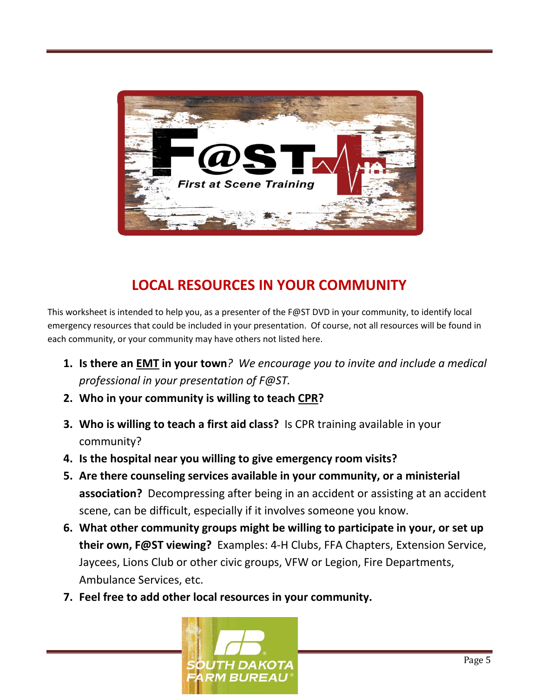

## **LOCAL RESOURCES IN YOUR COMMUNITY**

This worksheet is intended to help you, as a presenter of the F@ST DVD in your community, to identify local emergency resources that could be included in your presentation. Of course, not all resources will be found in each community, or your community may have others not listed here.

- **1. Is there an EMT in your town***? We encourage you to invite and include a medical professional in your presentation of F@ST.*
- **2. Who in your community is willing to teach CPR?**
- **3. Who is willing to teach a first aid class?** Is CPR training available in your community?
- **4. Is the hospital near you willing to give emergency room visits?**
- **5. Are there counseling services available in your community, or a ministerial association?** Decompressing after being in an accident or assisting at an accident scene, can be difficult, especially if it involves someone you know.
- **6. What other community groups might be willing to participate in your, or set up their own, F@ST viewing?** Examples: 4-H Clubs, FFA Chapters, Extension Service, Jaycees, Lions Club or other civic groups, VFW or Legion, Fire Departments, Ambulance Services, etc.
- **7. Feel free to add other local resources in your community.**